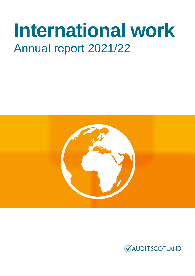# **International work**  Annual report 2021/22



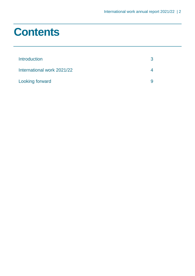### **Contents**

| <b>Introduction</b>        | 3 |
|----------------------------|---|
| International work 2021/22 |   |
| <b>Looking forward</b>     | Q |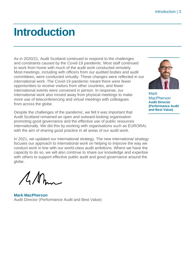### <span id="page-2-0"></span>**Introduction**

As in 2020/21, Audit Scotland continued to respond to the challenges and constraints caused by the Covid-19 pandemic. Most staff continued to work from home with much of the audit work conducted remotely. Most meetings, including with officers from our audited bodies and audit committees, were conducted virtually. These changes were reflected in our international work. The Covid-19 pandemic meant there were fewer opportunities to receive visitors from other countries, and fewer international events were convened in person. In response, our international work also moved away from physical meetings to make more use of teleconferencing and virtual meetings with colleagues from across the globe.

Despite the challenges of the pandemic, we felt it was important that Audit Scotland remained an open and outward-looking organisation promoting good governance and the effective use of public resources internationally. We did this by working with organisations such as EURORAI, with the aim of sharing good practice in all areas of our audit work.

In 2021, we updated our international strategy. The new international strategy focuses our approach to international work on helping to improve the way we conduct work in line with our world-class audit ambitions. Where we have the capacity to do so, we will also continue to share our knowledge and expertise with others to support effective public audit and good governance around the globe.

 $\Lambda$ M

**Mark MacPherson** Audit Director (Performance Audit and Best Value)



**Mark MacPherson Audit Director (Performance Audit and Best Value)**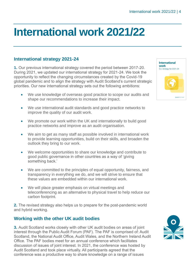## <span id="page-3-0"></span>**International work 2021/22**

#### **International strategy 2021-24**

**1.** Our previous international strategy covered the period between 2017-20. During 2021, we updated our international strategy for 2021-24. We took the opportunity to reflect the changing circumstances created by the Covid-19 global pandemic and to align the strategy with Audit Scotland's current strategic priorities. Our new international strategy sets out the following ambitions:

- We use knowledge of overseas good practice to scope our audits and shape our recommendations to increase their impact.
- We use international audit standards and good practice networks to improve the quality of our audit work.
- We promote our work within the UK and internationally to build good practice networks and improve as an audit organisation.
- We aim to get as many staff as possible involved in international work to provide learning opportunities, build on their skills, and broaden the outlook they bring to our work.
- We welcome opportunities to share our knowledge and contribute to good public governance in other countries as a way of 'giving something back.'
- We are committed to the principles of equal opportunity, fairness, and transparency in everything we do, and we will strive to ensure that these values are embedded within our international work.
- We will place greater emphasis on virtual meetings and teleconferencing as an alternative to physical travel to help reduce our carbon footprint.

**2.** The revised strategy also helps us to prepare for the post-pandemic world and hybrid working.

#### **Working with the other UK audit bodies**

**3.** Audit Scotland works closely with other UK audit bodies on areas of joint interest through the Public Audit Forum (PAF). The PAF is comprised of: Audit Scotland, the National Audit Office, Audit Wales, and the Northern Ireland Audit Office. The PAF bodies meet for an annual conference which facilitates discussion of issues of joint interest. In 2021, the conference was hosted by Audit Scotland and took place virtually. All participants agreed that the conference was a productive way to share knowledge on a range of issues



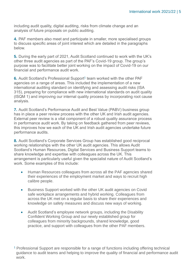including audit quality, digital auditing, risks from climate change and an analysis of future proposals on public auditing.

**4.** PAF members also meet and participate in smaller, more specialised groups to discuss specific areas of joint interest which are detailed in the paragraphs below.

**5.** During the early part of 2021, Audit Scotland continued to work with the UK's other three audit agencies as part of the PAF's Covid-19 group. The group's purpose was to facilitate better joint working on the impact of Covid-19 on our financial and performance audit work.

6. Audit Scotland's Professional Support<sup>1</sup> team worked with the other PAF agencies on a range of areas. This included the implementation of a new international auditing standard on identifying and assessing audit risks (ISA 315), preparing for compliance with new international standards on audit quality (ISQM 1) and improving our internal quality process by incorporating root cause analysis.

**7.** Audit Scotland's Performance Audit and Best Value (PABV) business group has in place a peer review process with the other UK and Irish audit agencies. External peer review is a vital component of a robust quality assurance process in performance audit work. By taking on feedback gathered from peer reviews, this improves how we each of the UK and Irish audit agencies undertake future performance audits.

**8.** Audit Scotland's Corporate Services Group has established good reciprocal working relationships with the other UK audit agencies. This allows Audit Scotland's Human Resources, Digital Services and Business Support teams to share knowledge and expertise with colleagues across the UK. This arrangement is particularly useful given the specialist nature of Audit Scotland's work. Some examples of this include:

- Human Resources colleagues from across all the PAF agencies shared their experiences of the employment market and ways to recruit high calibre people.
- Business Support worked with the other UK audit agencies on Covid safe workplace arrangements and hybrid working. Colleagues from across the UK met on a regular basis to share their experiences and knowledge on safety measures and discuss new ways of working.
- Audit Scotland's employee network groups, including the Disability Confident Working Group and our newly established group for colleagues from minority backgrounds, shared knowledge, good practice, and support with colleagues from the other PAF members.

<sup>&</sup>lt;sup>1</sup> Professional Support are responsible for a range of functions including offering technical guidance to audit teams and helping to improve the quality of financial and performance audit work.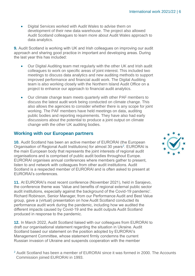• Digital Services worked with Audit Wales to advise them on development of their new data warehouse. The project also allowed Audit Scotland colleagues to learn more about Audit Wales approach to data analytics.

**9.** Audit Scotland is working with UK and Irish colleagues on improving our audit approach and sharing good practice in important and developing areas. During the last year this has included:

- Our Digital Auditing team met regularly with the other UK and Irish audit colleagues to work on specific areas of joint interest. This included two meetings to discuss data analytics and new auditing methods to support improved performance and financial audit work. The Digital Auditing team is also working closely with the Northern Island Audit Office on a project to enhance our approach to financial audit analytics.
- Our climate change team meets quarterly with other PAF members to discuss the latest audit work being conducted on climate change. This also allows the agencies to consider whether there is any scope for joint working. The PAF members have held meetings on data, auditing public bodies and reporting requirements. They have also had early discussions about the potential to produce a joint output on climate change with the other UK auditing bodies.

#### **Working with our European partners**

**10.** Audit Scotland has been an active member of EURORAI (the European Organisation of Regional Audit Institutions) for almost 30 years<sup>2</sup>. EURORAI is the main European body that represents the joint interests of regional audit organisations and is comprised of public audit bodies throughout Europe. EURORAI organises annual conferences where members gather to present, listen to and network with colleagues from other audit institutions. Audit Scotland is a respected member of EURORAI and is often asked to present at EURORAI's conferences.

**11.** At EURORAI's most recent conference (November 2021), held in Sarajevo, the conference theme was 'Value and benefits of regional external public sector audit institutions, especially against the background of the Covid-19 pandemic'. Richard Robinson, Senior Manager, from our Performance Audit and Best Value group, gave a (virtual) presentation on how Audit Scotland conducted its performance audit work during the pandemic, including how we audited the different impacts caused by Covid-19 and the audit outputs Audit Scotland produced in response to the pandemic.

**12.** In March 2022, Audit Scotland liaised with our colleagues from EURORAI to draft our organisational statement regarding the situation in Ukraine. Audit Scotland based our statement on the position adopted by EURORAI's Management Committee, whose statement firmly condemns the current Russian invasion of Ukraine and suspends cooperation with the member

<sup>2</sup> Audit Scotland has been a member of EURORAI since it was formed in 2000. The Accounts Commission joined EURORAI in 1993.

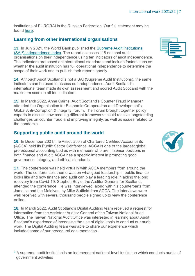institutions of EURORAI in the Russian Federation. Our full statement may be found [here.](https://www.audit-scotland.gov.uk/about-us/audit-scotland/going-global)

#### **Learning from other international organisations**

**13.** In July 2021, the World Bank published the [Supreme Audit Institutions](https://openknowledge.worldbank.org/handle/10986/36001)  (SAI<sup>3</sup>[\) Independence Index.](https://openknowledge.worldbank.org/handle/10986/36001) The report assesses 118 national audit organisations on their independence using ten indicators of audit independence. The indicators are based on international standards and include factors such as whether the audit institution has full operational independence to determine the scope of their work and to publish their reports openly.

**14.** Although Audit Scotland is not a SAI (Supreme Audit Institutions), the same indicators can be used to assess our independence. Audit Scotland's international team made its own assessment and scored Audit Scotland with the maximum score in all ten indicators.

**15.** In March 2022, Anne Cairns, Audit Scotland's Counter Fraud Manager, attended the Organisation for Economic Co-operation and Development's Global Anti-Corruption & Integrity Forum. The Forum brought together policy experts to discuss how creating different frameworks could resolve longstanding challenges on counter fraud and improving integrity, as well as issues related to the pandemic.

#### **Supporting public audit around the world**

**16.** In December 2021, the Association of Chartered Certified Accountants (ACCA) held its Public Sector Conference. ACCA is one of the largest global professional accounting bodies with members who are in senior positions in both finance and audit. ACCA has a specific interest in promoting good governance, integrity, and ethical standards.

**17.** The conference was held virtually with ACCA members from around the world. The conference's theme was on what good leadership in public finance looks like and how finance and audit can play a leading role in aiding the long recovery from Covid-19. Stephen Boyle, the Auditor General for Scotland, attended the conference. He was interviewed, along with his counterparts from Jamaica and the Maldives, by Mike Suffield from ACCA. The interviews were well received with several thousand people signed up to view the conference online.

**18.** In March 2022, Audit Scotland's Digital Auditing team received a request for information from the Assistant Auditor General of the Taiwan National Audit Office. The Taiwan National Audit Office was interested in learning about Audit Scotland's experience of increasing the use of digital tools to conduct our audit work. The Digital Auditing team was able to share our experience which included some of our procedural documentation.





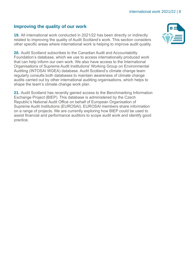#### **Improving the quality of our work**

**19.** All international work conducted in 2021/22 has been directly or indirectly related to improving the quality of Audit Scotland's work. This section considers other specific areas where international work is helping to improve audit quality.

**20.** Audit Scotland subscribes to the Canadian Audit and Accountability Foundation's database, which we use to access internationally produced work that can help inform our own work. We also have access to the International Organisations of Supreme Audit Institutions' Working Group on Environmental Auditing (INTOSAI WGEA) database. Audit Scotland's climate change team regularly consults both databases to maintain awareness of climate change audits carried out by other international auditing organisations, which helps to shape the team's climate change work plan.

**21.** Audit Scotland has recently gained access to the Benchmarking Information Exchange Project (BIEP). This database is administered by the Czech Republic's National Audit Office on behalf of European Organisation of Supreme Audit Institutions (EUROSAI). EUROSAI members share information on a range of projects. We are currently exploring how BIEP could be used to assist financial and performance auditors to scope audit work and identify good practice.

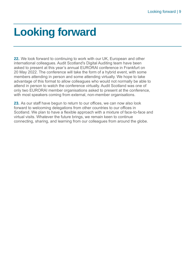### <span id="page-8-0"></span>**Looking forward**

**22.** We look forward to continuing to work with our UK, European and other international colleagues. Audit Scotland's Digital Auditing team have been asked to present at this year's annual EURORAI conference in Frankfurt on 20 May 2022. The conference will take the form of a hybrid event, with some members attending in person and some attending virtually. We hope to take advantage of this format to allow colleagues who would not normally be able to attend in person to watch the conference virtually. Audit Scotland was one of only two EURORAI member organisations asked to present at the conference, with most speakers coming from external, non-member organisations.

**23.** As our staff have begun to return to our offices, we can now also look forward to welcoming delegations from other countries to our offices in Scotland. We plan to have a flexible approach with a mixture of face-to-face and virtual visits. Whatever the future brings, we remain keen to continue connecting, sharing, and learning from our colleagues from around the globe.